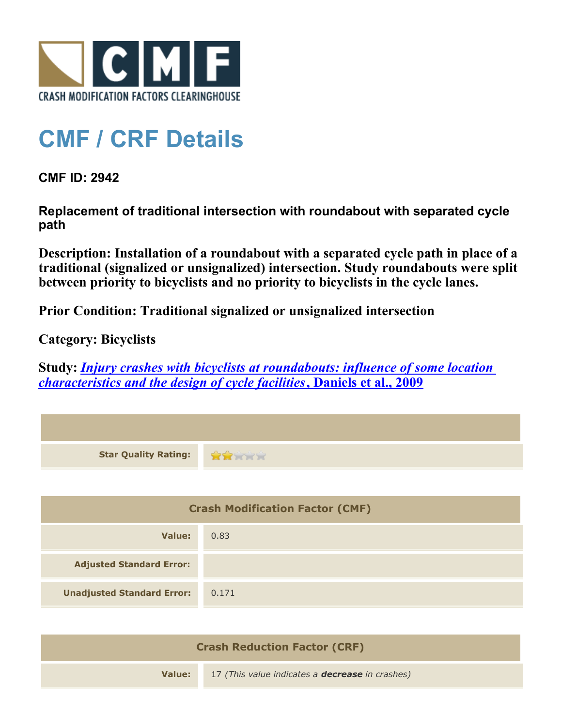

## **CMF / CRF Details**

**CMF ID: 2942**

**Replacement of traditional intersection with roundabout with separated cycle path**

**Description: Installation of a roundabout with a separated cycle path in place of a traditional (signalized or unsignalized) intersection. Study roundabouts were split between priority to bicyclists and no priority to bicyclists in the cycle lanes.**

**Prior Condition: Traditional signalized or unsignalized intersection**

**Category: Bicyclists**

**Study:** *[Injury crashes with bicyclists at roundabouts: influence of some location](http://www.cmfclearinghouse.org/study_detail.cfm?stid=199) [characteristics and the design of cycle facilities](http://www.cmfclearinghouse.org/study_detail.cfm?stid=199)***[, Daniels et al., 2009](http://www.cmfclearinghouse.org/study_detail.cfm?stid=199)**

| <b>Star Quality Rating:</b>            | <b>RATHE</b> |
|----------------------------------------|--------------|
|                                        |              |
| <b>Crash Modification Factor (CMF)</b> |              |
| <b>Value:</b>                          | 0.83         |
| <b>Adjusted Standard Error:</b>        |              |
| <b>Unadjusted Standard Error:</b>      | 0.171        |

| <b>Crash Reduction Factor (CRF)</b> |                                                        |
|-------------------------------------|--------------------------------------------------------|
| Value:                              | 17 (This value indicates a <b>decrease</b> in crashes) |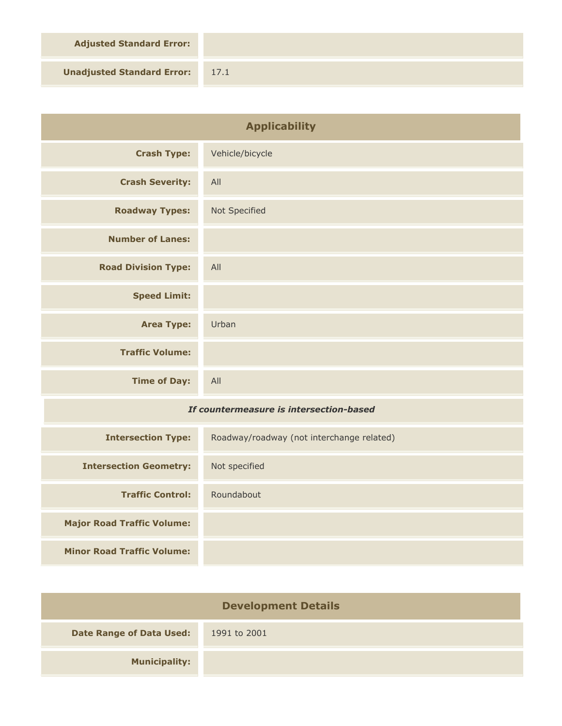**Adjusted Standard Error:**

**Unadjusted Standard Error:** 17.1

| <b>Applicability</b>                    |                                           |
|-----------------------------------------|-------------------------------------------|
| <b>Crash Type:</b>                      | Vehicle/bicycle                           |
| <b>Crash Severity:</b>                  | All                                       |
| <b>Roadway Types:</b>                   | Not Specified                             |
| <b>Number of Lanes:</b>                 |                                           |
| <b>Road Division Type:</b>              | All                                       |
| <b>Speed Limit:</b>                     |                                           |
| <b>Area Type:</b>                       | Urban                                     |
| <b>Traffic Volume:</b>                  |                                           |
| <b>Time of Day:</b>                     | All                                       |
| If countermeasure is intersection-based |                                           |
| <b>Intersection Type:</b>               | Roadway/roadway (not interchange related) |
| <b>Intersection Geometry:</b>           | Not specified                             |
| <b>Traffic Control:</b>                 | Roundabout                                |
| <b>Major Road Traffic Volume:</b>       |                                           |
| <b>Minor Road Traffic Volume:</b>       |                                           |

| <b>Development Details</b>      |              |
|---------------------------------|--------------|
| <b>Date Range of Data Used:</b> | 1991 to 2001 |
| <b>Municipality:</b>            |              |